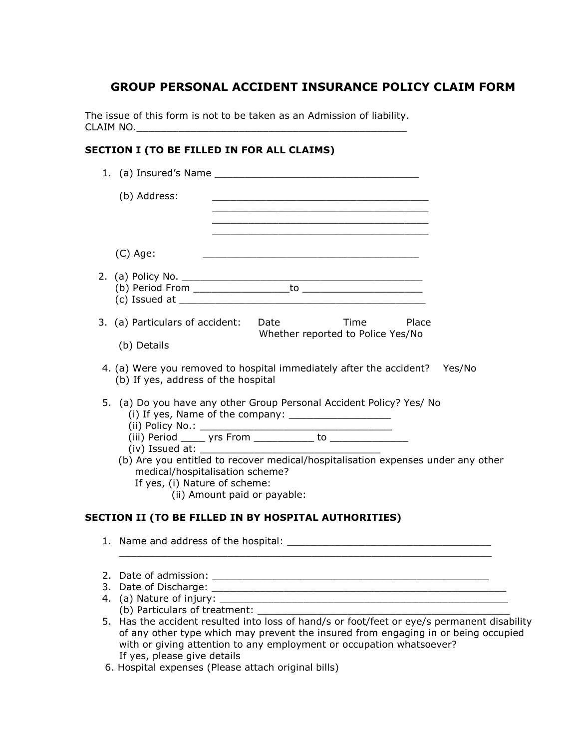## GROUP PERSONAL ACCIDENT INSURANCE POLICY CLAIM FORM

The issue of this form is not to be taken as an Admission of liability. CLAIM NO.\_\_\_\_\_\_\_\_\_\_\_\_\_\_\_\_\_\_\_\_\_\_\_\_\_\_\_\_\_\_\_\_\_\_\_\_\_\_\_\_\_\_\_\_\_

## SECTION I (TO BE FILLED IN FOR ALL CLAIMS)

| 1. (a) Insured's Name                                                                                                                                                                                                                                                                                                       |
|-----------------------------------------------------------------------------------------------------------------------------------------------------------------------------------------------------------------------------------------------------------------------------------------------------------------------------|
| (b) Address:                                                                                                                                                                                                                                                                                                                |
|                                                                                                                                                                                                                                                                                                                             |
| $(C)$ Age:<br><u> 1989 - Johann Stein, mars an deutscher Stein und der Stein und der Stein und der Stein und der Stein und der</u>                                                                                                                                                                                          |
|                                                                                                                                                                                                                                                                                                                             |
| 3. (a) Particulars of accident: Date Time Place<br>Whether reported to Police Yes/No<br>(b) Details                                                                                                                                                                                                                         |
| 4. (a) Were you removed to hospital immediately after the accident? Yes/No<br>(b) If yes, address of the hospital                                                                                                                                                                                                           |
| 5. (a) Do you have any other Group Personal Accident Policy? Yes/ No<br>(b) Are you entitled to recover medical/hospitalisation expenses under any other<br>medical/hospitalisation scheme?<br>If yes, (i) Nature of scheme:<br>(ii) Amount paid or payable:<br><b>SECTION II (TO BE FILLED IN BY HOSPITAL AUTHORITIES)</b> |
|                                                                                                                                                                                                                                                                                                                             |
|                                                                                                                                                                                                                                                                                                                             |
|                                                                                                                                                                                                                                                                                                                             |
|                                                                                                                                                                                                                                                                                                                             |
| (b) Particulars of treatment:<br>5. Has the accident resulted into loss of hand/s or foot/feet or eye/s permanent disability<br>of any other type which may prevent the insured from engaging in or being occupied<br>with or giving attention to any employment or occupation whatsoever?                                  |

If yes, please give details 6. Hospital expenses (Please attach original bills)